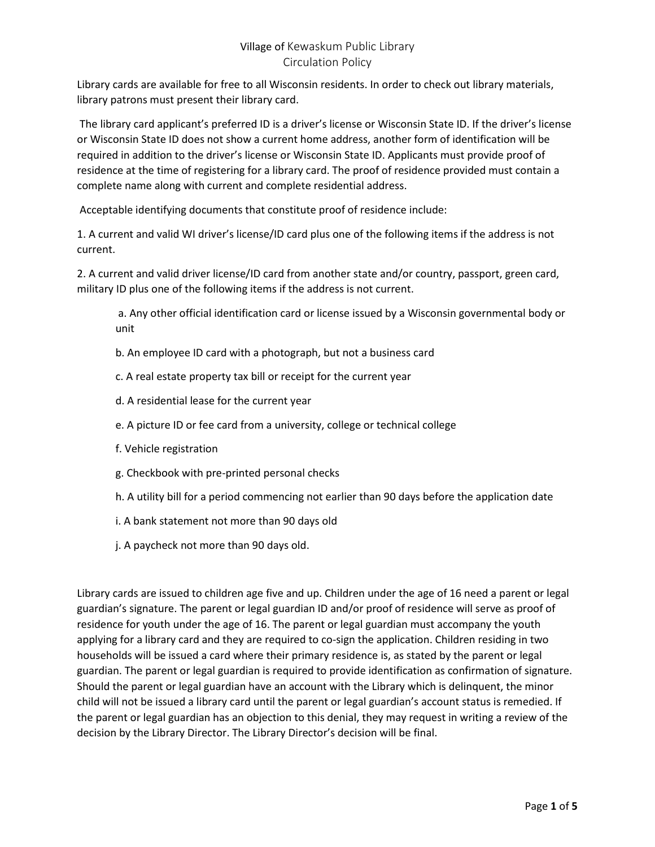Library cards are available for free to all Wisconsin residents. In order to check out library materials, library patrons must present their library card.

The library card applicant's preferred ID is a driver's license or Wisconsin State ID. If the driver's license or Wisconsin State ID does not show a current home address, another form of identification will be required in addition to the driver's license or Wisconsin State ID. Applicants must provide proof of residence at the time of registering for a library card. The proof of residence provided must contain a complete name along with current and complete residential address.

Acceptable identifying documents that constitute proof of residence include:

1. A current and valid WI driver's license/ID card plus one of the following items if the address is not current.

2. A current and valid driver license/ID card from another state and/or country, passport, green card, military ID plus one of the following items if the address is not current.

a. Any other official identification card or license issued by a Wisconsin governmental body or unit

- b. An employee ID card with a photograph, but not a business card
- c. A real estate property tax bill or receipt for the current year
- d. A residential lease for the current year
- e. A picture ID or fee card from a university, college or technical college
- f. Vehicle registration
- g. Checkbook with pre-printed personal checks
- h. A utility bill for a period commencing not earlier than 90 days before the application date
- i. A bank statement not more than 90 days old
- j. A paycheck not more than 90 days old.

Library cards are issued to children age five and up. Children under the age of 16 need a parent or legal guardian's signature. The parent or legal guardian ID and/or proof of residence will serve as proof of residence for youth under the age of 16. The parent or legal guardian must accompany the youth applying for a library card and they are required to co-sign the application. Children residing in two households will be issued a card where their primary residence is, as stated by the parent or legal guardian. The parent or legal guardian is required to provide identification as confirmation of signature. Should the parent or legal guardian have an account with the Library which is delinquent, the minor child will not be issued a library card until the parent or legal guardian's account status is remedied. If the parent or legal guardian has an objection to this denial, they may request in writing a review of the decision by the Library Director. The Library Director's decision will be final.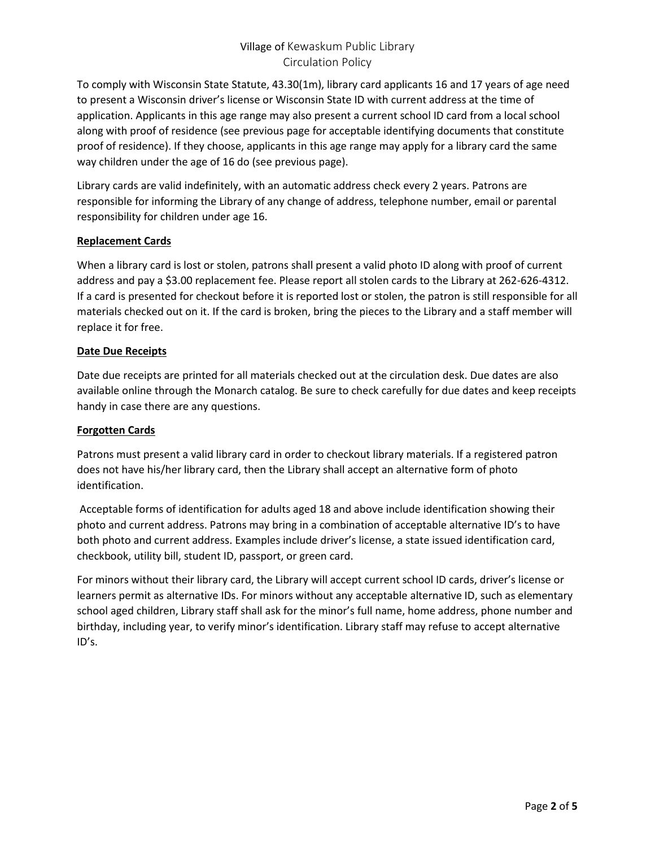To comply with Wisconsin State Statute, 43.30(1m), library card applicants 16 and 17 years of age need to present a Wisconsin driver's license or Wisconsin State ID with current address at the time of application. Applicants in this age range may also present a current school ID card from a local school along with proof of residence (see previous page for acceptable identifying documents that constitute proof of residence). If they choose, applicants in this age range may apply for a library card the same way children under the age of 16 do (see previous page).

Library cards are valid indefinitely, with an automatic address check every 2 years. Patrons are responsible for informing the Library of any change of address, telephone number, email or parental responsibility for children under age 16.

## **Replacement Cards**

When a library card is lost or stolen, patrons shall present a valid photo ID along with proof of current address and pay a \$3.00 replacement fee. Please report all stolen cards to the Library at 262-626-4312. If a card is presented for checkout before it is reported lost or stolen, the patron is still responsible for all materials checked out on it. If the card is broken, bring the pieces to the Library and a staff member will replace it for free.

## **Date Due Receipts**

Date due receipts are printed for all materials checked out at the circulation desk. Due dates are also available online through the Monarch catalog. Be sure to check carefully for due dates and keep receipts handy in case there are any questions.

### **Forgotten Cards**

Patrons must present a valid library card in order to checkout library materials. If a registered patron does not have his/her library card, then the Library shall accept an alternative form of photo identification.

Acceptable forms of identification for adults aged 18 and above include identification showing their photo and current address. Patrons may bring in a combination of acceptable alternative ID's to have both photo and current address. Examples include driver's license, a state issued identification card, checkbook, utility bill, student ID, passport, or green card.

For minors without their library card, the Library will accept current school ID cards, driver's license or learners permit as alternative IDs. For minors without any acceptable alternative ID, such as elementary school aged children, Library staff shall ask for the minor's full name, home address, phone number and birthday, including year, to verify minor's identification. Library staff may refuse to accept alternative ID's.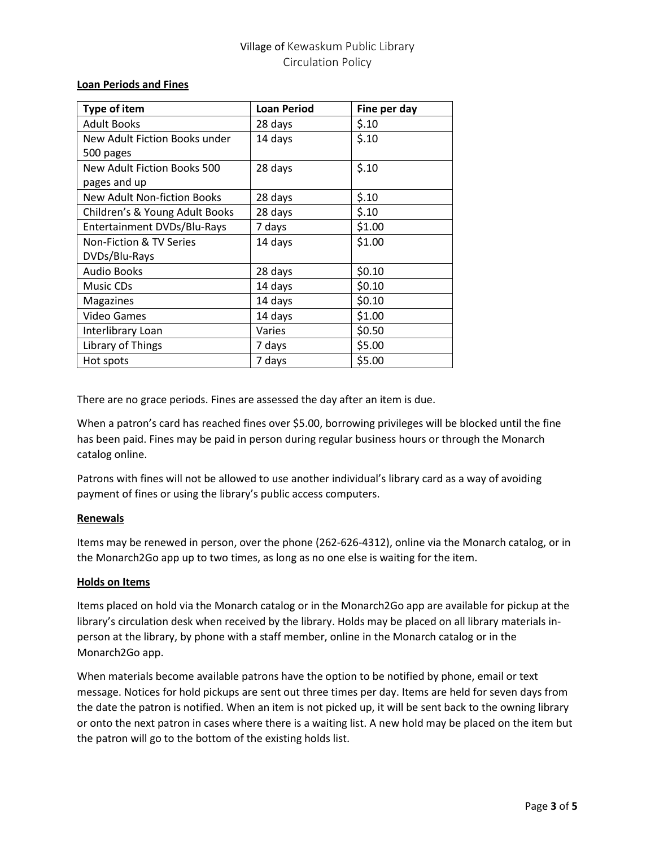#### **Loan Periods and Fines**

| Type of item                   | <b>Loan Period</b> | Fine per day |
|--------------------------------|--------------------|--------------|
| <b>Adult Books</b>             | 28 days            | \$.10        |
| New Adult Fiction Books under  | 14 days            | \$.10        |
| 500 pages                      |                    |              |
| New Adult Fiction Books 500    | 28 days            | \$.10        |
| pages and up                   |                    |              |
| New Adult Non-fiction Books    | 28 days            | \$.10        |
| Children's & Young Adult Books | 28 days            | \$.10        |
| Entertainment DVDs/Blu-Rays    | 7 days             | \$1.00       |
| Non-Fiction & TV Series        | 14 days            | \$1.00       |
| DVDs/Blu-Rays                  |                    |              |
| <b>Audio Books</b>             | 28 days            | \$0.10       |
| Music CDs                      | 14 days            | \$0.10       |
| Magazines                      | 14 days            | \$0.10       |
| <b>Video Games</b>             | 14 days            | \$1.00       |
| Interlibrary Loan              | Varies             | \$0.50       |
| Library of Things              | 7 days             | \$5.00       |
| Hot spots                      | 7 days             | \$5.00       |

There are no grace periods. Fines are assessed the day after an item is due.

When a patron's card has reached fines over \$5.00, borrowing privileges will be blocked until the fine has been paid. Fines may be paid in person during regular business hours or through the Monarch catalog online.

Patrons with fines will not be allowed to use another individual's library card as a way of avoiding payment of fines or using the library's public access computers.

#### **Renewals**

Items may be renewed in person, over the phone (262-626-4312), online via the Monarch catalog, or in the Monarch2Go app up to two times, as long as no one else is waiting for the item.

#### **Holds on Items**

Items placed on hold via the Monarch catalog or in the Monarch2Go app are available for pickup at the library's circulation desk when received by the library. Holds may be placed on all library materials inperson at the library, by phone with a staff member, online in the Monarch catalog or in the Monarch2Go app.

When materials become available patrons have the option to be notified by phone, email or text message. Notices for hold pickups are sent out three times per day. Items are held for seven days from the date the patron is notified. When an item is not picked up, it will be sent back to the owning library or onto the next patron in cases where there is a waiting list. A new hold may be placed on the item but the patron will go to the bottom of the existing holds list.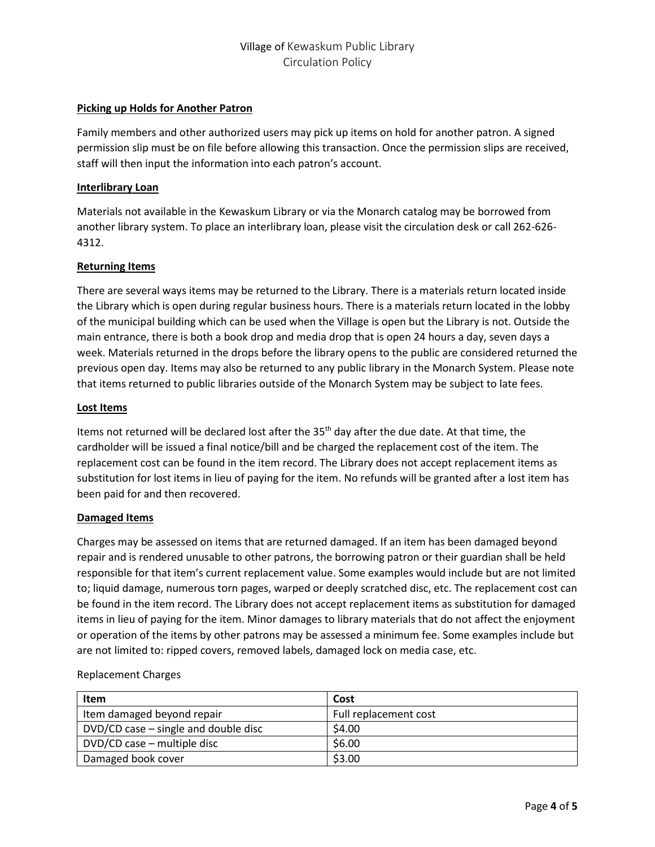### **Picking up Holds for Another Patron**

Family members and other authorized users may pick up items on hold for another patron. A signed permission slip must be on file before allowing this transaction. Once the permission slips are received, staff will then input the information into each patron's account.

### **Interlibrary Loan**

Materials not available in the Kewaskum Library or via the Monarch catalog may be borrowed from another library system. To place an interlibrary loan, please visit the circulation desk or call 262-626- 4312.

#### **Returning Items**

There are several ways items may be returned to the Library. There is a materials return located inside the Library which is open during regular business hours. There is a materials return located in the lobby of the municipal building which can be used when the Village is open but the Library is not. Outside the main entrance, there is both a book drop and media drop that is open 24 hours a day, seven days a week. Materials returned in the drops before the library opens to the public are considered returned the previous open day. Items may also be returned to any public library in the Monarch System. Please note that items returned to public libraries outside of the Monarch System may be subject to late fees.

#### **Lost Items**

Items not returned will be declared lost after the 35<sup>th</sup> day after the due date. At that time, the cardholder will be issued a final notice/bill and be charged the replacement cost of the item. The replacement cost can be found in the item record. The Library does not accept replacement items as substitution for lost items in lieu of paying for the item. No refunds will be granted after a lost item has been paid for and then recovered.

#### **Damaged Items**

Charges may be assessed on items that are returned damaged. If an item has been damaged beyond repair and is rendered unusable to other patrons, the borrowing patron or their guardian shall be held responsible for that item's current replacement value. Some examples would include but are not limited to; liquid damage, numerous torn pages, warped or deeply scratched disc, etc. The replacement cost can be found in the item record. The Library does not accept replacement items as substitution for damaged items in lieu of paying for the item. Minor damages to library materials that do not affect the enjoyment or operation of the items by other patrons may be assessed a minimum fee. Some examples include but are not limited to: ripped covers, removed labels, damaged lock on media case, etc.

| Item                                     | Cost                  |
|------------------------------------------|-----------------------|
| Item damaged beyond repair               | Full replacement cost |
| $DVD/CD$ case $-$ single and double disc | \$4.00                |
| DVD/CD case - multiple disc              | \$6.00                |
| Damaged book cover                       | \$3.00                |

#### Replacement Charges